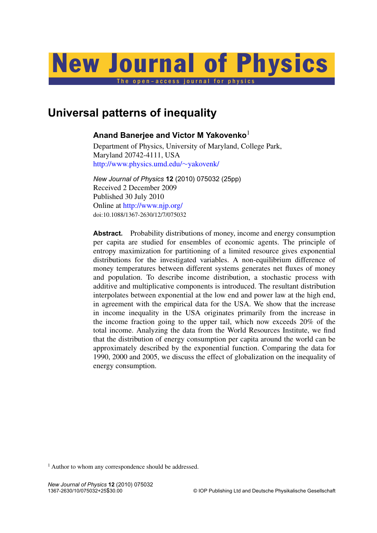# New Journal of Physics

The open-access journal for physics

# **Universal patterns of inequality**

# **Anand Banerjee and Victor M Yakovenko**<sup>1</sup>

Department of Physics, University of Maryland, College Park, Maryland 20742-4111, USA [http://www.physics.umd.edu/](http://www.physics.umd.edu/~yakovenk/)∼yakovenk/

*New Journal of Physics* **12** (2010) 075032 (25pp) Received 2 December 2009 Published 30 July 2010 Online at <http://www.njp.org/> doi:10.1088/1367-2630/12/7/075032

Abstract. Probability distributions of money, income and energy consumption per capita are studied for ensembles of economic agents. The principle of entropy maximization for partitioning of a limited resource gives exponential distributions for the investigated variables. A non-equilibrium difference of money temperatures between different systems generates net fluxes of money and population. To describe income distribution, a stochastic process with additive and multiplicative components is introduced. The resultant distribution interpolates between exponential at the low end and power law at the high end, in agreement with the empirical data for the USA. We show that the increase in income inequality in the USA originates primarily from the increase in the income fraction going to the upper tail, which now exceeds 20% of the total income. Analyzing the data from the World Resources Institute, we find that the distribution of energy consumption per capita around the world can be approximately described by the exponential function. Comparing the data for 1990, 2000 and 2005, we discuss the effect of globalization on the inequality of energy consumption.

<sup>1</sup> Author to whom any correspondence should be addressed.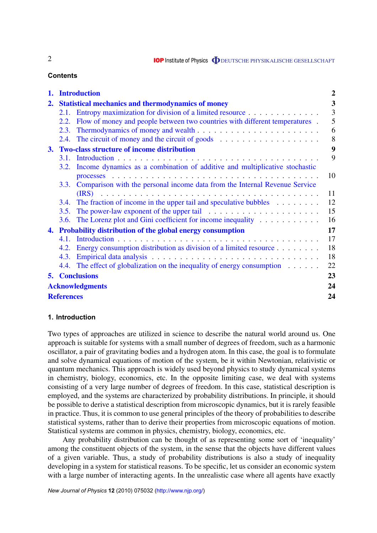**IOP** Institute of Physics **ODEUTSCHE PHYSIKALISCHE GESELLSCHAFT** 

# **Contents**

| 1. |                                                          | <b>Introduction</b>                                                                      | $\overline{2}$ |  |  |  |
|----|----------------------------------------------------------|------------------------------------------------------------------------------------------|----------------|--|--|--|
| 2. | <b>Statistical mechanics and thermodynamics of money</b> |                                                                                          |                |  |  |  |
|    |                                                          | 2.1. Entropy maximization for division of a limited resource                             |                |  |  |  |
|    |                                                          | 2.2. Flow of money and people between two countries with different temperatures.         | 5              |  |  |  |
|    |                                                          |                                                                                          | 6              |  |  |  |
|    |                                                          | 2.4. The circuit of money and the circuit of goods $\dots \dots \dots \dots \dots \dots$ | 8              |  |  |  |
| 3. |                                                          | <b>Two-class structure of income distribution</b>                                        |                |  |  |  |
|    |                                                          |                                                                                          | 9              |  |  |  |
|    |                                                          | 3.2. Income dynamics as a combination of additive and multiplicative stochastic          |                |  |  |  |
|    |                                                          |                                                                                          | 10             |  |  |  |
|    | 3.3.                                                     | Comparison with the personal income data from the Internal Revenue Service               |                |  |  |  |
|    |                                                          |                                                                                          | 11             |  |  |  |
|    |                                                          | 3.4. The fraction of income in the upper tail and speculative bubbles                    | 12             |  |  |  |
|    |                                                          |                                                                                          | 15             |  |  |  |
|    |                                                          | 3.6. The Lorenz plot and Gini coefficient for income inequality                          | 16<br>17       |  |  |  |
|    |                                                          | 4. Probability distribution of the global energy consumption                             |                |  |  |  |
|    |                                                          |                                                                                          | 17             |  |  |  |
|    |                                                          | 4.2. Energy consumption distribution as division of a limited resource                   | 18             |  |  |  |
|    |                                                          |                                                                                          | 18             |  |  |  |
|    |                                                          | 4.4. The effect of globalization on the inequality of energy consumption                 | 22             |  |  |  |
|    |                                                          | <b>5. Conclusions</b>                                                                    | 23             |  |  |  |
|    |                                                          | <b>Acknowledgments</b>                                                                   | 24             |  |  |  |
|    | <b>References</b>                                        |                                                                                          | 24             |  |  |  |

# **1. Introduction**

Two types of approaches are utilized in science to describe the natural world around us. One approach is suitable for systems with a small number of degrees of freedom, such as a harmonic oscillator, a pair of gravitating bodies and a hydrogen atom. In this case, the goal is to formulate and solve dynamical equations of motion of the system, be it within Newtonian, relativistic or quantum mechanics. This approach is widely used beyond physics to study dynamical systems in chemistry, biology, economics, etc. In the opposite limiting case, we deal with systems consisting of a very large number of degrees of freedom. In this case, statistical description is employed, and the systems are characterized by probability distributions. In principle, it should be possible to derive a statistical description from microscopic dynamics, but it is rarely feasible in practice. Thus, it is common to use general principles of the theory of probabilities to describe statistical systems, rather than to derive their properties from microscopic equations of motion. Statistical systems are common in physics, chemistry, biology, economics, etc.

Any probability distribution can be thought of as representing some sort of 'inequality' among the constituent objects of the system, in the sense that the objects have different values of a given variable. Thus, a study of probability distributions is also a study of inequality developing in a system for statistical reasons. To be specific, let us consider an economic system with a large number of interacting agents. In the unrealistic case where all agents have exactly

2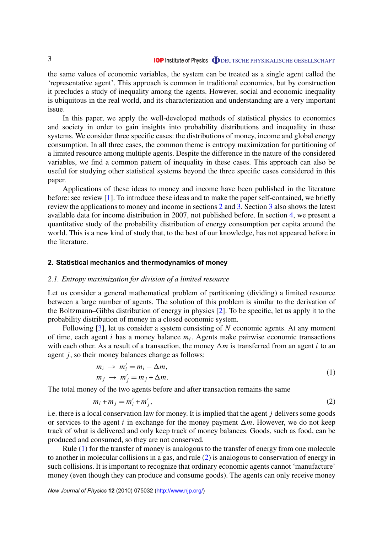the same values of economic variables, the system can be treated as a single agent called the 'representative agent'. This approach is common in traditional economics, but by construction it precludes a study of inequality among the agents. However, social and economic inequality is ubiquitous in the real world, and its characterization and understanding are a very important issue.

In this paper, we apply the well-developed methods of statistical physics to economics and society in order to gain insights into probability distributions and inequality in these systems. We consider three specific cases: the distributions of money, income and global energy consumption. In all three cases, the common theme is entropy maximization for partitioning of a limited resource among multiple agents. Despite the difference in the nature of the considered variables, we find a common pattern of inequality in these cases. This approach can also be useful for studying other statistical systems beyond the three specific cases considered in this paper.

Applications of these ideas to money and income have been published in the literature before: see review [1]. To introduce these ideas and to make the paper self-contained, we briefly review the applications to money and income in sections 2 and 3. Section 3 also shows the latest available data for income distribution in 2007, not published before. In section 4, we present a quantitative study of the probability distribution of energy consumption per capita around the world. This is a new kind of study that, to the best of our knowledge, has not appeared before in the literature.

#### **2. Statistical mechanics and thermodynamics of money**

#### *2.1. Entropy maximization for division of a limited resource*

Let us consider a general mathematical problem of partitioning (dividing) a limited resource between a large number of agents. The solution of this problem is similar to the derivation of the Boltzmann–Gibbs distribution of energy in physics [2]. To be specific, let us apply it to the probability distribution of money in a closed economic system.

Following [3], let us consider a system consisting of *N* economic agents. At any moment of time, each agent *i* has a money balance *m<sup>i</sup>* . Agents make pairwise economic transactions with each other. As a result of a transaction, the money  $\Delta m$  is transferred from an agent *i* to an agent *j*, so their money balances change as follows:

$$
m_i \rightarrow m'_i = m_i - \Delta m,
$$
  
\n
$$
m_j \rightarrow m'_j = m_j + \Delta m.
$$
\n(1)

The total money of the two agents before and after transaction remains the same

$$
m_i + m_j = m'_i + m'_j,\tag{2}
$$

i.e. there is a local conservation law for money. It is implied that the agent *j* delivers some goods or services to the agent *i* in exchange for the money payment  $\Delta m$ . However, we do not keep track of what is delivered and only keep track of money balances. Goods, such as food, can be produced and consumed, so they are not conserved.

Rule (1) for the transfer of money is analogous to the transfer of energy from one molecule to another in molecular collisions in a gas, and rule (2) is analogous to conservation of energy in such collisions. It is important to recognize that ordinary economic agents cannot 'manufacture' money (even though they can produce and consume goods). The agents can only receive money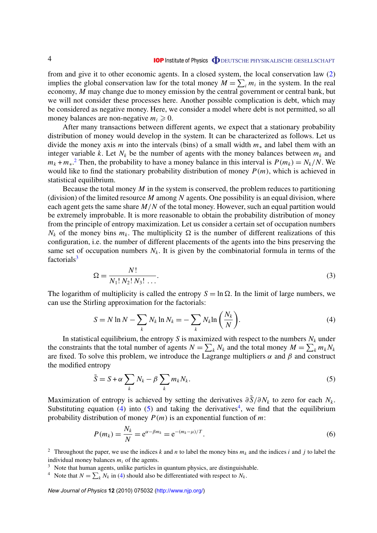from and give it to other economic agents. In a closed system, the local conservation law (2) implies the global conservation law for the total money  $M = \sum_i m_i$  in the system. In the real economy, *M* may change due to money emission by the central government or central bank, but we will not consider these processes here. Another possible complication is debt, which may be considered as negative money. Here, we consider a model where debt is not permitted, so all money balances are non-negative  $m_i \geq 0$ .

After many transactions between different agents, we expect that a stationary probability distribution of money would develop in the system. It can be characterized as follows. Let us divide the money axis *m* into the intervals (bins) of a small width *m*<sup>∗</sup> and label them with an integer variable *k*. Let  $N_k$  be the number of agents with the money balances between  $m_k$  and  $m_k + m_*$ <sup>2</sup> Then, the probability to have a money balance in this interval is  $P(m_k) = N_k/N$ . We would like to find the stationary probability distribution of money  $P(m)$ , which is achieved in statistical equilibrium.

Because the total money *M* in the system is conserved, the problem reduces to partitioning (division) of the limited resource *M* among *N* agents. One possibility is an equal division, where each agent gets the same share *M*/*N* of the total money. However, such an equal partition would be extremely improbable. It is more reasonable to obtain the probability distribution of money from the principle of entropy maximization. Let us consider a certain set of occupation numbers  $N_k$  of the money bins  $m_k$ . The multiplicity  $\Omega$  is the number of different realizations of this configuration, i.e. the number of different placements of the agents into the bins preserving the same set of occupation numbers  $N_k$ . It is given by the combinatorial formula in terms of the factorials $3$ 

$$
\Omega = \frac{N!}{N_1! \, N_2! \, N_3! \, \dots}.
$$
\n(3)

The logarithm of multiplicity is called the entropy  $S = \ln \Omega$ . In the limit of large numbers, we can use the Stirling approximation for the factorials:

$$
S = N \ln N - \sum_{k} N_k \ln N_k = -\sum_{k} N_k \ln \left( \frac{N_k}{N} \right).
$$
 (4)

In statistical equilibrium, the entropy  $S$  is maximized with respect to the numbers  $N_k$  under the constraints that the total number of agents  $N = \sum_{k} N_k$  and the total money  $M = \sum_{k} m_k N_k$ are fixed. To solve this problem, we introduce the Lagrange multipliers  $\alpha$  and  $\beta$  and construct the modified entropy

$$
\tilde{S} = S + \alpha \sum_{k} N_k - \beta \sum_{k} m_k N_k. \tag{5}
$$

Maximization of entropy is achieved by setting the derivatives  $\partial \tilde{S}/\partial N_k$  to zero for each  $N_k$ . Substituting equation (4) into (5) and taking the derivatives<sup>4</sup>, we find that the equilibrium probability distribution of money *P*(*m*) is an exponential function of *m*:

$$
P(m_k) = \frac{N_k}{N} = e^{\alpha - \beta m_k} = e^{-(m_k - \mu)/T}.
$$
\n(6)

<sup>2</sup> Throughout the paper, we use the indices *k* and *n* to label the money bins  $m_k$  and the indices *i* and *j* to label the individual money balances *m<sup>i</sup>* of the agents.

- <sup>3</sup> Note that human agents, unlike particles in quantum physics, are distinguishable.
- <sup>4</sup> Note that  $N = \sum_{k} N_k$  in (4) should also be differentiated with respect to  $N_k$ .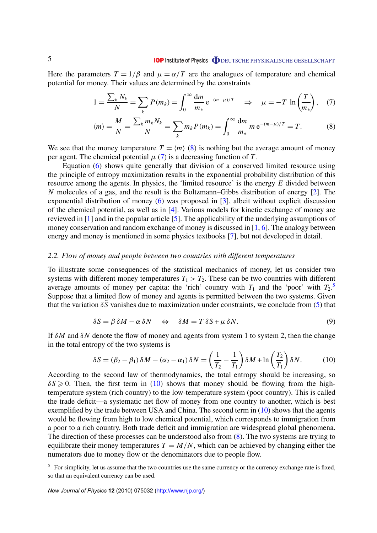# **IOP** Institute of Physics **ODEUTSCHE PHYSIKALISCHE GESELLSCHAFT**

Here the parameters  $T = 1/\beta$  and  $\mu = \alpha/T$  are the analogues of temperature and chemical potential for money. Their values are determined by the constraints

$$
1 = \frac{\sum_{k} N_{k}}{N} = \sum_{k} P(m_{k}) = \int_{0}^{\infty} \frac{dm}{m_{*}} e^{-(m-\mu)/T} \quad \Rightarrow \quad \mu = -T \ln \left( \frac{T}{m_{*}} \right), \quad (7)
$$

$$
\langle m \rangle = \frac{M}{N} = \frac{\sum_{k} m_{k} N_{k}}{N} = \sum_{k} m_{k} P(m_{k}) = \int_{0}^{\infty} \frac{dm}{m_{*}} m e^{-(m-\mu)/T} = T.
$$
 (8)

We see that the money temperature  $T = \langle m \rangle$  (8) is nothing but the average amount of money per agent. The chemical potential  $\mu$  (7) is a decreasing function of *T*.

Equation (6) shows quite generally that division of a conserved limited resource using the principle of entropy maximization results in the exponential probability distribution of this resource among the agents. In physics, the 'limited resource' is the energy *E* divided between *N* molecules of a gas, and the result is the Boltzmann–Gibbs distribution of energy [2]. The exponential distribution of money (6) was proposed in [3], albeit without explicit discussion of the chemical potential, as well as in [4]. Various models for kinetic exchange of money are reviewed in [1] and in the popular article [5]. The applicability of the underlying assumptions of money conservation and random exchange of money is discussed in [1, 6]. The analogy between energy and money is mentioned in some physics textbooks [7], but not developed in detail.

### *2.2. Flow of money and people between two countries with different temperatures*

To illustrate some consequences of the statistical mechanics of money, let us consider two systems with different money temperatures  $T_1 > T_2$ . These can be two countries with different average amounts of money per capita: the 'rich' country with  $T_1$  and the 'poor' with  $T_2$ .<sup>5</sup> Suppose that a limited flow of money and agents is permitted between the two systems. Given that the variation  $\delta \tilde{S}$  vanishes due to maximization under constraints, we conclude from (5) that

$$
\delta S = \beta \, \delta M - \alpha \, \delta N \quad \Leftrightarrow \quad \delta M = T \, \delta S + \mu \, \delta N. \tag{9}
$$

If  $\delta M$  and  $\delta N$  denote the flow of money and agents from system 1 to system 2, then the change in the total entropy of the two systems is

$$
\delta S = (\beta_2 - \beta_1) \delta M - (\alpha_2 - \alpha_1) \delta N = \left(\frac{1}{T_2} - \frac{1}{T_1}\right) \delta M + \ln\left(\frac{T_2}{T_1}\right) \delta N. \tag{10}
$$

According to the second law of thermodynamics, the total entropy should be increasing, so  $\delta S \geq 0$ . Then, the first term in (10) shows that money should be flowing from the hightemperature system (rich country) to the low-temperature system (poor country). This is called the trade deficit—a systematic net flow of money from one country to another, which is best exemplified by the trade between USA and China. The second term in (10) shows that the agents would be flowing from high to low chemical potential, which corresponds to immigration from a poor to a rich country. Both trade deficit and immigration are widespread global phenomena. The direction of these processes can be understood also from (8). The two systems are trying to equilibrate their money temperatures  $T = M/N$ , which can be achieved by changing either the numerators due to money flow or the denominators due to people flow.

<sup>5</sup> For simplicity, let us assume that the two countries use the same currency or the currency exchange rate is fixed, so that an equivalent currency can be used.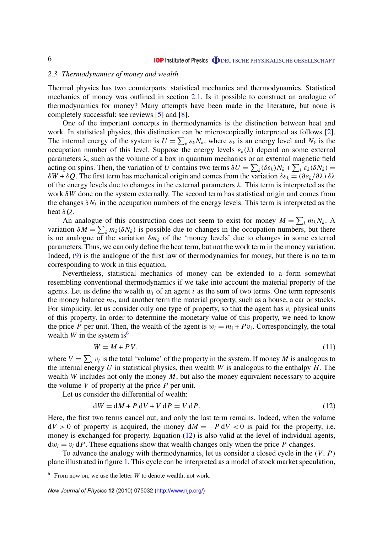#### *2.3. Thermodynamics of money and wealth*

Thermal physics has two counterparts: statistical mechanics and thermodynamics. Statistical mechanics of money was outlined in section 2.1. Is it possible to construct an analogue of thermodynamics for money? Many attempts have been made in the literature, but none is completely successful: see reviews [5] and [8].

One of the important concepts in thermodynamics is the distinction between heat and work. In statistical physics, this distinction can be microscopically interpreted as follows [2]. The internal energy of the system is  $U = \sum_k \varepsilon_k N_k$ , where  $\varepsilon_k$  is an energy level and  $N_k$  is the occupation number of this level. Suppose the energy levels  $\varepsilon_k(\lambda)$  depend on some external parameters  $\lambda$ , such as the volume of a box in quantum mechanics or an external magnetic field acting on spins. Then, the variation of *U* contains two terms  $\delta U = \sum_k (\delta \varepsilon_k) N_k + \sum_k \varepsilon_k (\delta N_k)$ δ*W* + δ*Q*. The first term has mechanical origin and comes from the variation δε*<sup>k</sup>* = (∂ε*k*/∂λ) δλ of the energy levels due to changes in the external parameters  $\lambda$ . This term is interpreted as the work δ*W* done on the system externally. The second term has statistical origin and comes from the changes  $\delta N_k$  in the occupation numbers of the energy levels. This term is interpreted as the heat δ*Q*.

An analogue of this construction does not seem to exist for money  $M = \sum_{k} m_k N_k$ . A variation  $\delta M = \sum_{k} m_k(\delta N_k)$  is possible due to changes in the occupation numbers, but there is no analogue of the variation  $\delta m_k$  of the 'money levels' due to changes in some external parameters. Thus, we can only define the heat term, but not the work term in the money variation. Indeed, (9) is the analogue of the first law of thermodynamics for money, but there is no term corresponding to work in this equation.

Nevertheless, statistical mechanics of money can be extended to a form somewhat resembling conventional thermodynamics if we take into account the material property of the agents. Let us define the wealth  $w_i$  of an agent  $i$  as the sum of two terms. One term represents the money balance  $m_i$ , and another term the material property, such as a house, a car or stocks. For simplicity, let us consider only one type of property, so that the agent has v*<sup>i</sup>* physical units of this property. In order to determine the monetary value of this property, we need to know the price *P* per unit. Then, the wealth of the agent is  $w_i = m_i + Pv_i$ . Correspondingly, the total wealth *W* in the system is<sup>6</sup>

$$
W = M + PV,\tag{11}
$$

where  $V = \sum_i v_i$  is the total 'volume' of the property in the system. If money *M* is analogous to the internal energy *U* in statistical physics, then wealth *W* is analogous to the enthalpy *H*. The wealth *W* includes not only the money *M*, but also the money equivalent necessary to acquire the volume *V* of property at the price *P* per unit.

Let us consider the differential of wealth:

$$
dW = dM + P dV + V dP = V dP.
$$
 (12)

Here, the first two terms cancel out, and only the last term remains. Indeed, when the volume  $dV > 0$  of property is acquired, the money  $dM = -P dV < 0$  is paid for the property, i.e. money is exchanged for property. Equation (12) is also valid at the level of individual agents,  $dw_i = v_i dP$ . These equations show that wealth changes only when the price P changes.

To advance the analogy with thermodynamics, let us consider a closed cycle in the (*V*, *P*) plane illustrated in figure 1. This cycle can be interpreted as a model of stock market speculation,

<sup>6</sup> From now on, we use the letter *W* to denote wealth, not work.

*New Journal of Physics* **12** (2010) 075032 [\(http://www.njp.org/\)](http://www.njp.org/)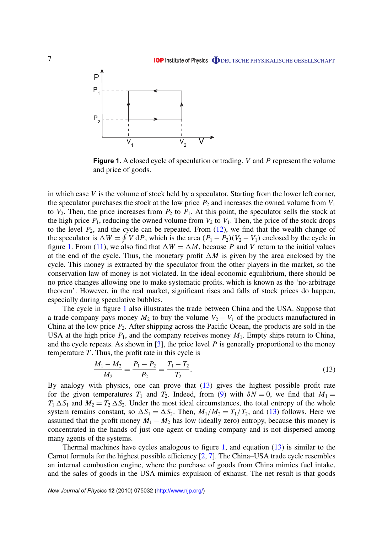# **IOP Institute of Physics @DEUTSCHE PHYSIKALISCHE GESELLSCHAFT**



**Figure 1.** A closed cycle of speculation or trading. *V* and *P* represent the volume and price of goods.

in which case *V* is the volume of stock held by a speculator. Starting from the lower left corner, the speculator purchases the stock at the low price  $P_2$  and increases the owned volume from  $V_1$ to  $V_2$ . Then, the price increases from  $P_2$  to  $P_1$ . At this point, the speculator sells the stock at the high price  $P_1$ , reducing the owned volume from  $V_2$  to  $V_1$ . Then, the price of the stock drops to the level  $P_2$ , and the cycle can be repeated. From  $(12)$ , we find that the wealth change of the speculator is  $\Delta W = \oint V dP$ , which is the area  $(P_1 - P_2)(V_2 - V_1)$  enclosed by the cycle in figure 1. From (11), we also find that  $\Delta W = \Delta M$ , because *P* and *V* return to the initial values at the end of the cycle. Thus, the monetary profit  $\Delta M$  is given by the area enclosed by the cycle. This money is extracted by the speculator from the other players in the market, so the conservation law of money is not violated. In the ideal economic equilibrium, there should be no price changes allowing one to make systematic profits, which is known as the 'no-arbitrage theorem'. However, in the real market, significant rises and falls of stock prices do happen, especially during speculative bubbles.

The cycle in figure 1 also illustrates the trade between China and the USA. Suppose that a trade company pays money  $M_2$  to buy the volume  $V_2 - V_1$  of the products manufactured in China at the low price *P*2. After shipping across the Pacific Ocean, the products are sold in the USA at the high price  $P_1$ , and the company receives money  $M_1$ . Empty ships return to China, and the cycle repeats. As shown in  $\lceil 3 \rceil$ , the price level P is generally proportional to the money temperature *T* . Thus, the profit rate in this cycle is

$$
\frac{M_1 - M_2}{M_2} = \frac{P_1 - P_2}{P_2} = \frac{T_1 - T_2}{T_2}.
$$
\n(13)

By analogy with physics, one can prove that (13) gives the highest possible profit rate for the given temperatures  $T_1$  and  $T_2$ . Indeed, from (9) with  $\delta N = 0$ , we find that  $M_1 =$  $T_1 \Delta S_1$  and  $M_2 = T_2 \Delta S_2$ . Under the most ideal circumstances, the total entropy of the whole system remains constant, so  $\Delta S_1 = \Delta S_2$ . Then,  $M_1/M_2 = T_1/T_2$ , and (13) follows. Here we assumed that the profit money  $M_1 - M_2$  has low (ideally zero) entropy, because this money is concentrated in the hands of just one agent or trading company and is not dispersed among many agents of the systems.

Thermal machines have cycles analogous to figure 1, and equation  $(13)$  is similar to the Carnot formula for the highest possible efficiency [2, 7]. The China–USA trade cycle resembles an internal combustion engine, where the purchase of goods from China mimics fuel intake, and the sales of goods in the USA mimics expulsion of exhaust. The net result is that goods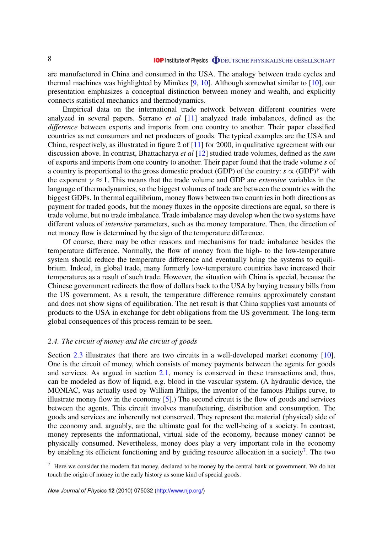are manufactured in China and consumed in the USA. The analogy between trade cycles and thermal machines was highlighted by Mimkes [9, 10]. Although somewhat similar to [10], our presentation emphasizes a conceptual distinction between money and wealth, and explicitly connects statistical mechanics and thermodynamics.

Empirical data on the international trade network between different countries were analyzed in several papers. Serrano *et al* [11] analyzed trade imbalances, defined as the *difference* between exports and imports from one country to another. Their paper classified countries as net consumers and net producers of goods. The typical examples are the USA and China, respectively, as illustrated in figure 2 of [11] for 2000, in qualitative agreement with our discussion above. In contrast, Bhattacharya *et al* [12] studied trade volumes, defined as the *sum* of exports and imports from one country to another. Their paper found that the trade volume *s* of a country is proportional to the gross domestic product (GDP) of the country:  $s \propto (GDP)^{\gamma}$  with the exponent  $\gamma \approx 1$ . This means that the trade volume and GDP are *extensive* variables in the language of thermodynamics, so the biggest volumes of trade are between the countries with the biggest GDPs. In thermal equilibrium, money flows between two countries in both directions as payment for traded goods, but the money fluxes in the opposite directions are equal, so there is trade volume, but no trade imbalance. Trade imbalance may develop when the two systems have different values of *intensive* parameters, such as the money temperature. Then, the direction of net money flow is determined by the sign of the temperature difference.

Of course, there may be other reasons and mechanisms for trade imbalance besides the temperature difference. Normally, the flow of money from the high- to the low-temperature system should reduce the temperature difference and eventually bring the systems to equilibrium. Indeed, in global trade, many formerly low-temperature countries have increased their temperatures as a result of such trade. However, the situation with China is special, because the Chinese government redirects the flow of dollars back to the USA by buying treasury bills from the US government. As a result, the temperature difference remains approximately constant and does not show signs of equilibration. The net result is that China supplies vast amounts of products to the USA in exchange for debt obligations from the US government. The long-term global consequences of this process remain to be seen.

#### *2.4. The circuit of money and the circuit of goods*

Section 2.3 illustrates that there are two circuits in a well-developed market economy [10]. One is the circuit of money, which consists of money payments between the agents for goods and services. As argued in section 2.1, money is conserved in these transactions and, thus, can be modeled as flow of liquid, e.g. blood in the vascular system. (A hydraulic device, the MONIAC, was actually used by William Philips, the inventor of the famous Philips curve, to illustrate money flow in the economy [5].) The second circuit is the flow of goods and services between the agents. This circuit involves manufacturing, distribution and consumption. The goods and services are inherently not conserved. They represent the material (physical) side of the economy and, arguably, are the ultimate goal for the well-being of a society. In contrast, money represents the informational, virtual side of the economy, because money cannot be physically consumed. Nevertheless, money does play a very important role in the economy by enabling its efficient functioning and by guiding resource allocation in a society<sup>7</sup>. The two

 $<sup>7</sup>$  Here we consider the modern fiat money, declared to be money by the central bank or government. We do not</sup> touch the origin of money in the early history as some kind of special goods.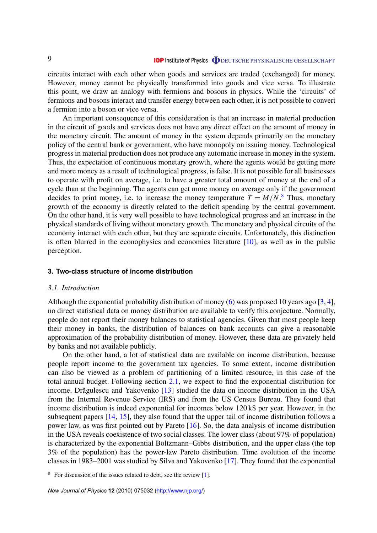circuits interact with each other when goods and services are traded (exchanged) for money. However, money cannot be physically transformed into goods and vice versa. To illustrate this point, we draw an analogy with fermions and bosons in physics. While the 'circuits' of fermions and bosons interact and transfer energy between each other, it is not possible to convert a fermion into a boson or vice versa.

An important consequence of this consideration is that an increase in material production in the circuit of goods and services does not have any direct effect on the amount of money in the monetary circuit. The amount of money in the system depends primarily on the monetary policy of the central bank or government, who have monopoly on issuing money. Technological progress in material production does not produce any automatic increase in money in the system. Thus, the expectation of continuous monetary growth, where the agents would be getting more and more money as a result of technological progress, is false. It is not possible for all businesses to operate with profit on average, i.e. to have a greater total amount of money at the end of a cycle than at the beginning. The agents can get more money on average only if the government decides to print money, i.e. to increase the money temperature  $T = M/N$ .<sup>8</sup> Thus, monetary growth of the economy is directly related to the deficit spending by the central government. On the other hand, it is very well possible to have technological progress and an increase in the physical standards of living without monetary growth. The monetary and physical circuits of the economy interact with each other, but they are separate circuits. Unfortunately, this distinction is often blurred in the econophysics and economics literature [10], as well as in the public perception.

#### **3. Two-class structure of income distribution**

# *3.1. Introduction*

Although the exponential probability distribution of money (6) was proposed 10 years ago [3, 4], no direct statistical data on money distribution are available to verify this conjecture. Normally, people do not report their money balances to statistical agencies. Given that most people keep their money in banks, the distribution of balances on bank accounts can give a reasonable approximation of the probability distribution of money. However, these data are privately held by banks and not available publicly.

On the other hand, a lot of statistical data are available on income distribution, because people report income to the government tax agencies. To some extent, income distribution can also be viewed as a problem of partitioning of a limited resource, in this case of the total annual budget. Following section 2.1, we expect to find the exponential distribution for income. Drăgulescu and Yakovenko [13] studied the data on income distribution in the USA from the Internal Revenue Service (IRS) and from the US Census Bureau. They found that income distribution is indeed exponential for incomes below 120 k\$ per year. However, in the subsequent papers [14, 15], they also found that the upper tail of income distribution follows a power law, as was first pointed out by Pareto [16]. So, the data analysis of income distribution in the USA reveals coexistence of two social classes. The lower class (about 97% of population) is characterized by the exponential Boltzmann–Gibbs distribution, and the upper class (the top 3% of the population) has the power-law Pareto distribution. Time evolution of the income classes in 1983–2001 was studied by Silva and Yakovenko [17]. They found that the exponential

<sup>&</sup>lt;sup>8</sup> For discussion of the issues related to debt, see the review [1].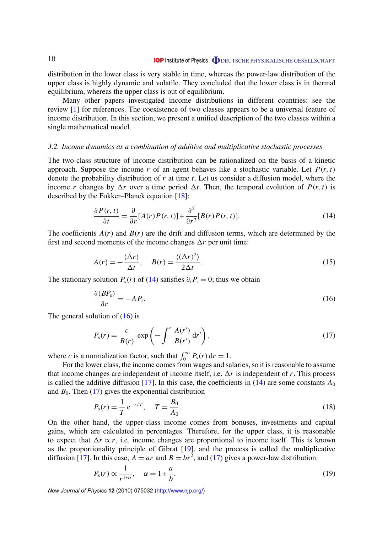distribution in the lower class is very stable in time, whereas the power-law distribution of the upper class is highly dynamic and volatile. They concluded that the lower class is in thermal equilibrium, whereas the upper class is out of equilibrium.

Many other papers investigated income distributions in different countries: see the review [1] for references. The coexistence of two classes appears to be a universal feature of income distribution. In this section, we present a unified description of the two classes within a single mathematical model.

#### *3.2. Income dynamics as a combination of additive and multiplicative stochastic processes*

The two-class structure of income distribution can be rationalized on the basis of a kinetic approach. Suppose the income  $r$  of an agent behaves like a stochastic variable. Let  $P(r, t)$ denote the probability distribution of *r* at time *t*. Let us consider a diffusion model, where the income *r* changes by  $\Delta r$  over a time period  $\Delta t$ . Then, the temporal evolution of  $P(r, t)$  is described by the Fokker–Planck equation [18]:

$$
\frac{\partial P(r,t)}{\partial t} = \frac{\partial}{\partial r} [A(r)P(r,t)] + \frac{\partial^2}{\partial r^2} [B(r)P(r,t)].
$$
\n(14)

The coefficients  $A(r)$  and  $B(r)$  are the drift and diffusion terms, which are determined by the first and second moments of the income changes  $\Delta r$  per unit time:

$$
A(r) = -\frac{\langle \Delta r \rangle}{\Delta t}, \quad B(r) = \frac{\langle (\Delta r)^2 \rangle}{2\Delta t}.
$$
 (15)

The stationary solution  $P_s(r)$  of (14) satisfies  $\partial_t P_s = 0$ ; thus we obtain

$$
\frac{\partial (BP_s)}{\partial r} = -AP_s. \tag{16}
$$

The general solution of  $(16)$  is

$$
P_{\rm s}(r) = \frac{c}{B(r)} \exp\left(-\int^r \frac{A(r')}{B(r')} \, \mathrm{d}r'\right),\tag{17}
$$

where *c* is a normalization factor, such that  $\int_0^\infty P_s(r) dr = 1$ .

For the lower class, the income comes from wages and salaries, so it is reasonable to assume that income changes are independent of income itself, i.e.  $\Delta r$  is independent of r. This process is called the additive diffusion [17]. In this case, the coefficients in  $(14)$  are some constants  $A_0$ and  $B_0$ . Then (17) gives the exponential distribution

$$
P_{\rm s}(r) = \frac{1}{T} \,\mathrm{e}^{-r/T}, \quad T = \frac{B_0}{A_0}.\tag{18}
$$

On the other hand, the upper-class income comes from bonuses, investments and capital gains, which are calculated in percentages. Therefore, for the upper class, it is reasonable to expect that  $\Delta r \propto r$ , i.e. income changes are proportional to income itself. This is known as the proportionality principle of Gibrat [19], and the process is called the multiplicative diffusion [17]. In this case,  $A = ar$  and  $B = br^2$ , and (17) gives a power-law distribution:

$$
P_{\rm s}(r) \propto \frac{1}{r^{1+\alpha}}, \quad \alpha = 1 + \frac{a}{b}.\tag{19}
$$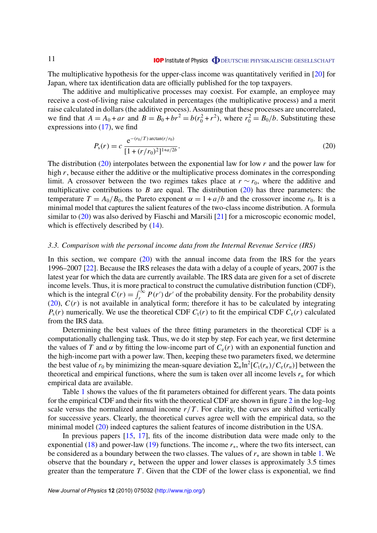The multiplicative hypothesis for the upper-class income was quantitatively verified in [20] for Japan, where tax identification data are officially published for the top taxpayers.

The additive and multiplicative processes may coexist. For example, an employee may receive a cost-of-living raise calculated in percentages (the multiplicative process) and a merit raise calculated in dollars (the additive process). Assuming that these processes are uncorrelated, we find that  $A = A_0 + ar$  and  $B = B_0 + br^2 = b(r_0^2 + r^2)$ , where  $r_0^2 = B_0/b$ . Substituting these expressions into (17), we find

$$
P_{\rm s}(r) = c \, \frac{\mathrm{e}^{-(r_0/T) \arctan(r/r_0)}}{[1 + (r/r_0)^2]^{1 + a/2b}}.\tag{20}
$$

The distribution (20) interpolates between the exponential law for low *r* and the power law for high *r*, because either the additive or the multiplicative process dominates in the corresponding limit. A crossover between the two regimes takes place at  $r \sim r_0$ , where the additive and multiplicative contributions to *B* are equal. The distribution (20) has three parameters: the temperature  $T = A_0/B_0$ , the Pareto exponent  $\alpha = 1 + a/b$  and the crossover income  $r_0$ . It is a minimal model that captures the salient features of the two-class income distribution. A formula similar to (20) was also derived by Fiaschi and Marsili [21] for a microscopic economic model, which is effectively described by  $(14)$ .

# *3.3. Comparison with the personal income data from the Internal Revenue Service (IRS)*

In this section, we compare  $(20)$  with the annual income data from the IRS for the years 1996–2007 [22]. Because the IRS releases the data with a delay of a couple of years, 2007 is the latest year for which the data are currently available. The IRS data are given for a set of discrete income levels. Thus, it is more practical to construct the cumulative distribution function (CDF), which is the integral  $C(r) = \int_r^{\infty} P(r') dr'$  of the probability density. For the probability density  $(20)$ ,  $C(r)$  is not available in analytical form; therefore it has to be calculated by integrating  $P_s(r)$  numerically. We use the theoretical CDF  $C_t(r)$  to fit the empirical CDF  $C_e(r)$  calculated from the IRS data.

Determining the best values of the three fitting parameters in the theoretical CDF is a computationally challenging task. Thus, we do it step by step. For each year, we first determine the values of *T* and  $\alpha$  by fitting the low-income part of  $C_e(r)$  with an exponential function and the high-income part with a power law. Then, keeping these two parameters fixed, we determine the best value of  $r_0$  by minimizing the mean-square deviation  $\Sigma_n \ln^2[C_t(r_n)/C_e(r_n)]$  between the theoretical and empirical functions, where the sum is taken over all income levels  $r<sub>n</sub>$  for which empirical data are available.

Table 1 shows the values of the fit parameters obtained for different years. The data points for the empirical CDF and their fits with the theoretical CDF are shown in figure 2 in the log–log scale versus the normalized annual income  $r/T$ . For clarity, the curves are shifted vertically for successive years. Clearly, the theoretical curves agree well with the empirical data, so the minimal model (20) indeed captures the salient features of income distribution in the USA.

In previous papers [15, 17], fits of the income distribution data were made only to the exponential (18) and power-law (19) functions. The income  $r<sub>*</sub>$ , where the two fits intersect, can be considered as a boundary between the two classes. The values of *r*<sup>∗</sup> are shown in table 1. We observe that the boundary  $r_*$  between the upper and lower classes is approximately 3.5 times greater than the temperature *T* . Given that the CDF of the lower class is exponential, we find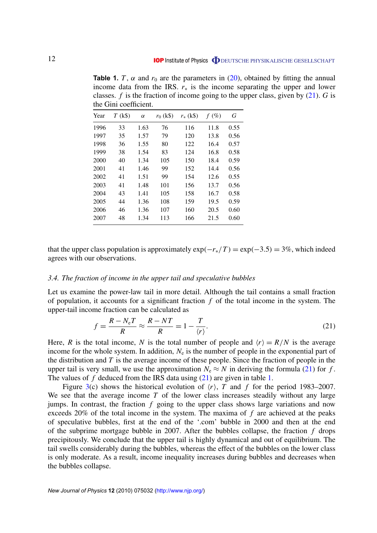**Table 1.** *T*,  $\alpha$  and  $r_0$  are the parameters in (20), obtained by fitting the annual income data from the IRS.  $r_*$  is the income separating the upper and lower classes.  $f$  is the fraction of income going to the upper class, given by  $(21)$ . *G* is the Gini coefficient.

| Year | $T$ (k\$) | $\alpha$ | $r_0$ (k\$) | $r_{*}$ (k\$) | $f(\%)$ | G    |
|------|-----------|----------|-------------|---------------|---------|------|
| 1996 | 33        | 1.63     | 76          | 116           | 11.8    | 0.55 |
| 1997 | 35        | 1.57     | 79          | 120           | 13.8    | 0.56 |
| 1998 | 36        | 1.55     | 80          | 122           | 16.4    | 0.57 |
| 1999 | 38        | 1.54     | 83          | 124           | 16.8    | 0.58 |
| 2000 | 40        | 1.34     | 105         | 150           | 18.4    | 0.59 |
| 2001 | 41        | 1.46     | 99          | 152           | 14.4    | 0.56 |
| 2002 | 41        | 1.51     | 99          | 154           | 12.6    | 0.55 |
| 2003 | 41        | 1.48     | 101         | 156           | 13.7    | 0.56 |
| 2004 | 43        | 1.41     | 105         | 158           | 16.7    | 0.58 |
| 2005 | 44        | 1.36     | 108         | 159           | 19.5    | 0.59 |
| 2006 | 46        | 1.36     | 107         | 160           | 20.5    | 0.60 |
| 2007 | 48        | 1.34     | 113         | 166           | 21.5    | 0.60 |

that the upper class population is approximately  $\exp(-r_*/T) = \exp(-3.5) = 3\%$ , which indeed agrees with our observations.

# *3.4. The fraction of income in the upper tail and speculative bubbles*

Let us examine the power-law tail in more detail. Although the tail contains a small fraction of population, it accounts for a significant fraction *f* of the total income in the system. The upper-tail income fraction can be calculated as

$$
f = \frac{R - N_e T}{R} \approx \frac{R - NT}{R} = 1 - \frac{T}{\langle r \rangle}.
$$
 (21)

Here, *R* is the total income, *N* is the total number of people and  $\langle r \rangle = R/N$  is the average income for the whole system. In addition,  $N_e$  is the number of people in the exponential part of the distribution and *T* is the average income of these people. Since the fraction of people in the upper tail is very small, we use the approximation  $N_e \approx N$  in deriving the formula (21) for *f*. The values of *f* deduced from the IRS data using (21) are given in table 1.

Figure 3(c) shows the historical evolution of  $\langle r \rangle$ , *T* and *f* for the period 1983–2007. We see that the average income *T* of the lower class increases steadily without any large jumps. In contrast, the fraction *f* going to the upper class shows large variations and now exceeds 20% of the total income in the system. The maxima of *f* are achieved at the peaks of speculative bubbles, first at the end of the '.com' bubble in 2000 and then at the end of the subprime mortgage bubble in 2007. After the bubbles collapse, the fraction *f* drops precipitously. We conclude that the upper tail is highly dynamical and out of equilibrium. The tail swells considerably during the bubbles, whereas the effect of the bubbles on the lower class is only moderate. As a result, income inequality increases during bubbles and decreases when the bubbles collapse.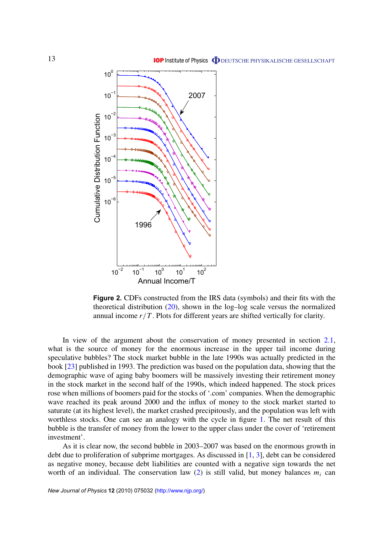

**Figure 2.** CDFs constructed from the IRS data (symbols) and their fits with the theoretical distribution (20), shown in the log–log scale versus the normalized annual income  $r/T$ . Plots for different years are shifted vertically for clarity.

In view of the argument about the conservation of money presented in section 2.1, what is the source of money for the enormous increase in the upper tail income during speculative bubbles? The stock market bubble in the late 1990s was actually predicted in the book [23] published in 1993. The prediction was based on the population data, showing that the demographic wave of aging baby boomers will be massively investing their retirement money in the stock market in the second half of the 1990s, which indeed happened. The stock prices rose when millions of boomers paid for the stocks of '.com' companies. When the demographic wave reached its peak around 2000 and the influx of money to the stock market started to saturate (at its highest level), the market crashed precipitously, and the population was left with worthless stocks. One can see an analogy with the cycle in figure 1. The net result of this bubble is the transfer of money from the lower to the upper class under the cover of 'retirement investment'.

As it is clear now, the second bubble in 2003–2007 was based on the enormous growth in debt due to proliferation of subprime mortgages. As discussed in [1, 3], debt can be considered as negative money, because debt liabilities are counted with a negative sign towards the net worth of an individual. The conservation law  $(2)$  is still valid, but money balances  $m_i$  can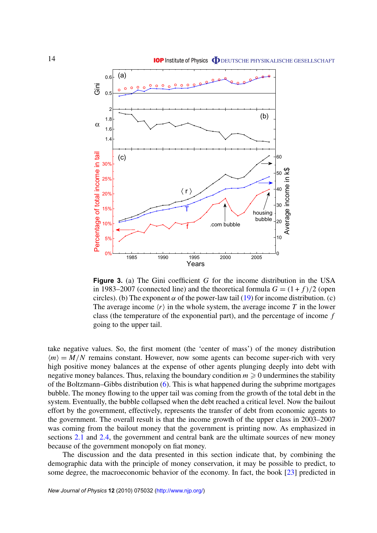

**Figure 3.** (a) The Gini coefficient *G* for the income distribution in the USA in 1983–2007 (connected line) and the theoretical formula  $G = (1 + f)/2$  (open circles). (b) The exponent  $\alpha$  of the power-law tail (19) for income distribution. (c) The average income  $\langle r \rangle$  in the whole system, the average income *T* in the lower class (the temperature of the exponential part), and the percentage of income *f* going to the upper tail.

take negative values. So, the first moment (the 'center of mass') of the money distribution  $\langle m \rangle = M/N$  remains constant. However, now some agents can become super-rich with very high positive money balances at the expense of other agents plunging deeply into debt with negative money balances. Thus, relaxing the boundary condition  $m \geq 0$  undermines the stability of the Boltzmann–Gibbs distribution (6). This is what happened during the subprime mortgages bubble. The money flowing to the upper tail was coming from the growth of the total debt in the system. Eventually, the bubble collapsed when the debt reached a critical level. Now the bailout effort by the government, effectively, represents the transfer of debt from economic agents to the government. The overall result is that the income growth of the upper class in 2003–2007 was coming from the bailout money that the government is printing now. As emphasized in sections 2.1 and 2.4, the government and central bank are the ultimate sources of new money because of the government monopoly on fiat money.

The discussion and the data presented in this section indicate that, by combining the demographic data with the principle of money conservation, it may be possible to predict, to some degree, the macroeconomic behavior of the economy. In fact, the book [23] predicted in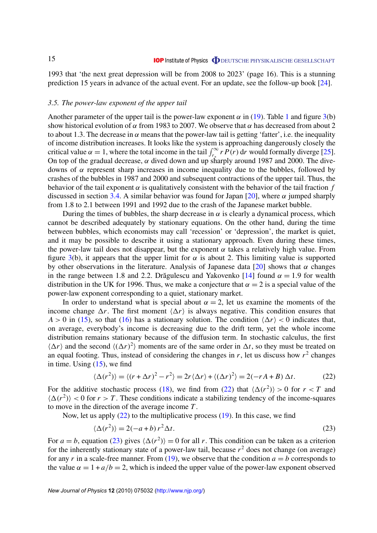1993 that 'the next great depression will be from 2008 to 2023' (page 16). This is a stunning prediction 15 years in advance of the actual event. For an update, see the follow-up book [24].

# *3.5. The power-law exponent of the upper tail*

Another parameter of the upper tail is the power-law exponent  $\alpha$  in (19). Table 1 and figure 3(b) show historical evolution of  $\alpha$  from 1983 to 2007. We observe that  $\alpha$  has decreased from about 2 to about 1.3. The decrease in  $\alpha$  means that the power-law tail is getting 'fatter', i.e. the inequality of income distribution increases. It looks like the system is approaching dangerously closely the critical value  $\alpha = 1$ , where the total income in the tail  $\int_{r_*}^{\infty} r P(r) dr$  would formally diverge [25]. On top of the gradual decrease,  $\alpha$  dived down and up sharply around 1987 and 2000. The divedowns of  $\alpha$  represent sharp increases in income inequality due to the bubbles, followed by crashes of the bubbles in 1987 and 2000 and subsequent contractions of the upper tail. Thus, the behavior of the tail exponent  $\alpha$  is qualitatively consistent with the behavior of the tail fraction  $f$ discussed in section 3.4. A similar behavior was found for Japan [20], where  $\alpha$  jumped sharply from 1.8 to 2.1 between 1991 and 1992 due to the crash of the Japanese market bubble.

During the times of bubbles, the sharp decrease in  $\alpha$  is clearly a dynamical process, which cannot be described adequately by stationary equations. On the other hand, during the time between bubbles, which economists may call 'recession' or 'depression', the market is quiet, and it may be possible to describe it using a stationary approach. Even during these times, the power-law tail does not disappear, but the exponent  $\alpha$  takes a relatively high value. From figure 3(b), it appears that the upper limit for  $\alpha$  is about 2. This limiting value is supported by other observations in the literature. Analysis of Japanese data [20] shows that  $\alpha$  changes in the range between 1.8 and 2.2. Drăgulescu and Yakovenko [14] found  $\alpha = 1.9$  for wealth distribution in the UK for 1996. Thus, we make a conjecture that  $\alpha = 2$  is a special value of the power-law exponent corresponding to a quiet, stationary market.

In order to understand what is special about  $\alpha = 2$ , let us examine the moments of the income change  $\Delta r$ . The first moment  $\langle \Delta r \rangle$  is always negative. This condition ensures that  $A > 0$  in (15), so that (16) has a stationary solution. The condition  $\langle \Delta r \rangle < 0$  indicates that, on average, everybody's income is decreasing due to the drift term, yet the whole income distribution remains stationary because of the diffusion term. In stochastic calculus, the first  $\langle \Delta r \rangle$  and the second  $\langle (\Delta r)^2 \rangle$  moments are of the same order in  $\Delta t$ , so they must be treated on an equal footing. Thus, instead of considering the changes in  $r$ , let us discuss how  $r<sup>2</sup>$  changes in time. Using (15), we find

$$
\langle \Delta(r^2) \rangle = \langle (r + \Delta r)^2 - r^2 \rangle = 2r \langle \Delta r \rangle + \langle (\Delta r)^2 \rangle = 2(-rA + B) \Delta t. \tag{22}
$$

For the additive stochastic process (18), we find from (22) that  $\langle \Delta(r^2) \rangle > 0$  for  $r < T$  and  $\langle \Delta(r^2) \rangle$  < 0 for  $r > T$ . These conditions indicate a stabilizing tendency of the income-squares to move in the direction of the average income *T* .

Now, let us apply  $(22)$  to the multiplicative process  $(19)$ . In this case, we find

$$
\langle \Delta(r^2) \rangle = 2(-a+b)r^2 \Delta t. \tag{23}
$$

For  $a = b$ , equation (23) gives  $\langle \Delta(r^2) \rangle = 0$  for all *r*. This condition can be taken as a criterion for the inherently stationary state of a power-law tail, because *r* <sup>2</sup> does not change (on average) for any *r* in a scale-free manner. From (19), we observe that the condition  $a = b$  corresponds to the value  $\alpha = 1 + a/b = 2$ , which is indeed the upper value of the power-law exponent observed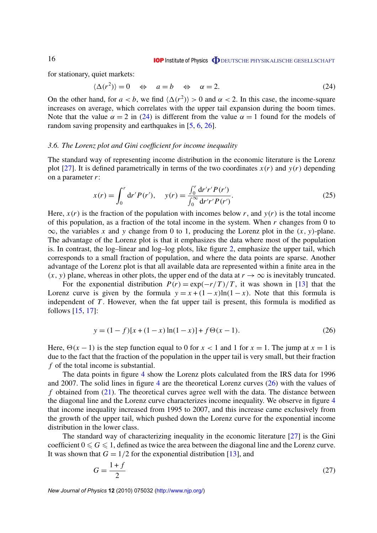for stationary, quiet markets:

$$
\langle \Delta(r^2) \rangle = 0 \quad \Leftrightarrow \quad a = b \quad \Leftrightarrow \quad \alpha = 2. \tag{24}
$$

On the other hand, for  $a < b$ , we find  $\langle \Delta(r^2) \rangle > 0$  and  $\alpha < 2$ . In this case, the income-square increases on average, which correlates with the upper tail expansion during the boom times. Note that the value  $\alpha = 2$  in (24) is different from the value  $\alpha = 1$  found for the models of random saving propensity and earthquakes in [5, 6, 26].

# *3.6. The Lorenz plot and Gini coefficient for income inequality*

The standard way of representing income distribution in the economic literature is the Lorenz plot [27]. It is defined parametrically in terms of the two coordinates  $x(r)$  and  $y(r)$  depending on a parameter *r*:

$$
x(r) = \int_0^r dr' P(r'), \quad y(r) = \frac{\int_0^r dr' r' P(r')}{\int_0^\infty dr' r' P(r')}.
$$
\n(25)

Here,  $x(r)$  is the fraction of the population with incomes below *r*, and  $y(r)$  is the total income of this population, as a fraction of the total income in the system. When *r* changes from 0 to  $\infty$ , the variables *x* and *y* change from 0 to 1, producing the Lorenz plot in the  $(x, y)$ -plane. The advantage of the Lorenz plot is that it emphasizes the data where most of the population is. In contrast, the log–linear and log–log plots, like figure 2, emphasize the upper tail, which corresponds to a small fraction of population, and where the data points are sparse. Another advantage of the Lorenz plot is that all available data are represented within a finite area in the  $(x, y)$  plane, whereas in other plots, the upper end of the data at  $r \to \infty$  is inevitably truncated.

For the exponential distribution  $P(r) = \exp(-r/T)/T$ , it was shown in [13] that the Lorenz curve is given by the formula  $y = x + (1 - x) \ln(1 - x)$ . Note that this formula is independent of *T*. However, when the fat upper tail is present, this formula is modified as follows [15, 17]:

$$
y = (1 - f)[x + (1 - x) \ln(1 - x)] + f\Theta(x - 1).
$$
 (26)

Here,  $\Theta(x - 1)$  is the step function equal to 0 for  $x < 1$  and 1 for  $x = 1$ . The jump at  $x = 1$  is due to the fact that the fraction of the population in the upper tail is very small, but their fraction *f* of the total income is substantial.

The data points in figure 4 show the Lorenz plots calculated from the IRS data for 1996 and 2007. The solid lines in figure 4 are the theoretical Lorenz curves (26) with the values of *f* obtained from (21). The theoretical curves agree well with the data. The distance between the diagonal line and the Lorenz curve characterizes income inequality. We observe in figure 4 that income inequality increased from 1995 to 2007, and this increase came exclusively from the growth of the upper tail, which pushed down the Lorenz curve for the exponential income distribution in the lower class.

The standard way of characterizing inequality in the economic literature [27] is the Gini coefficient  $0 \le G \le 1$ , defined as twice the area between the diagonal line and the Lorenz curve. It was shown that  $G = 1/2$  for the exponential distribution [13], and

$$
G = \frac{1+f}{2} \tag{27}
$$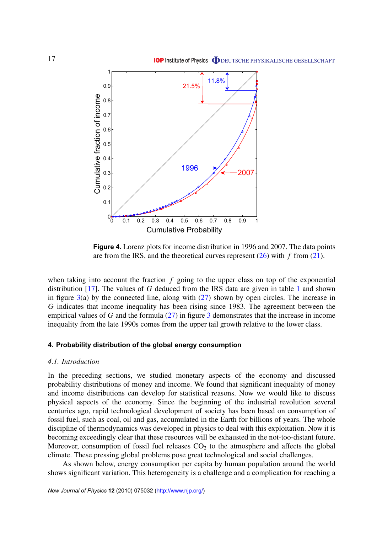

**Figure 4.** Lorenz plots for income distribution in 1996 and 2007. The data points are from the IRS, and the theoretical curves represent (26) with *f* from (21).

when taking into account the fraction *f* going to the upper class on top of the exponential distribution [17]. The values of *G* deduced from the IRS data are given in table 1 and shown in figure  $3(a)$  by the connected line, along with  $(27)$  shown by open circles. The increase in *G* indicates that income inequality has been rising since 1983. The agreement between the empirical values of *G* and the formula (27) in figure 3 demonstrates that the increase in income inequality from the late 1990s comes from the upper tail growth relative to the lower class.

# **4. Probability distribution of the global energy consumption**

# *4.1. Introduction*

In the preceding sections, we studied monetary aspects of the economy and discussed probability distributions of money and income. We found that significant inequality of money and income distributions can develop for statistical reasons. Now we would like to discuss physical aspects of the economy. Since the beginning of the industrial revolution several centuries ago, rapid technological development of society has been based on consumption of fossil fuel, such as coal, oil and gas, accumulated in the Earth for billions of years. The whole discipline of thermodynamics was developed in physics to deal with this exploitation. Now it is becoming exceedingly clear that these resources will be exhausted in the not-too-distant future. Moreover, consumption of fossil fuel releases  $CO<sub>2</sub>$  to the atmosphere and affects the global climate. These pressing global problems pose great technological and social challenges.

As shown below, energy consumption per capita by human population around the world shows significant variation. This heterogeneity is a challenge and a complication for reaching a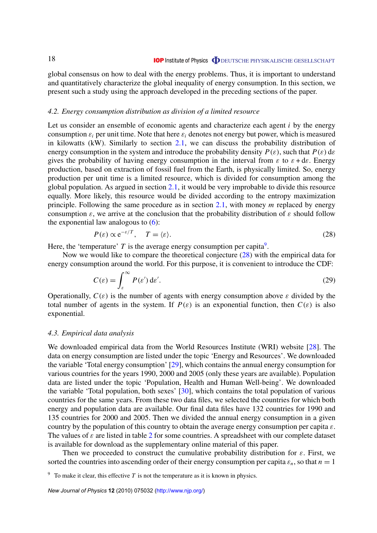global consensus on how to deal with the energy problems. Thus, it is important to understand and quantitatively characterize the global inequality of energy consumption. In this section, we present such a study using the approach developed in the preceding sections of the paper.

#### *4.2. Energy consumption distribution as division of a limited resource*

Let us consider an ensemble of economic agents and characterize each agent *i* by the energy consumption  $\varepsilon_i$  per unit time. Note that here  $\varepsilon_i$  denotes not energy but power, which is measured in kilowatts (kW). Similarly to section 2.1, we can discuss the probability distribution of energy consumption in the system and introduce the probability density  $P(\varepsilon)$ , such that  $P(\varepsilon)$  d $\varepsilon$ gives the probability of having energy consumption in the interval from  $\varepsilon$  to  $\varepsilon + d\varepsilon$ . Energy production, based on extraction of fossil fuel from the Earth, is physically limited. So, energy production per unit time is a limited resource, which is divided for consumption among the global population. As argued in section 2.1, it would be very improbable to divide this resource equally. More likely, this resource would be divided according to the entropy maximization principle. Following the same procedure as in section 2.1, with money *m* replaced by energy consumption  $\varepsilon$ , we arrive at the conclusion that the probability distribution of  $\varepsilon$  should follow the exponential law analogous to  $(6)$ :

$$
P(\varepsilon) \propto e^{-\varepsilon/T}, \quad T = \langle \varepsilon \rangle. \tag{28}
$$

Here, the 'temperature'  $T$  is the average energy consumption per capita<sup>9</sup>.

Now we would like to compare the theoretical conjecture (28) with the empirical data for energy consumption around the world. For this purpose, it is convenient to introduce the CDF:

$$
C(\varepsilon) = \int_{\varepsilon}^{\infty} P(\varepsilon') d\varepsilon'.
$$
 (29)

Operationally,  $C(\varepsilon)$  is the number of agents with energy consumption above  $\varepsilon$  divided by the total number of agents in the system. If  $P(\varepsilon)$  is an exponential function, then  $C(\varepsilon)$  is also exponential.

#### *4.3. Empirical data analysis*

We downloaded empirical data from the World Resources Institute (WRI) website [28]. The data on energy consumption are listed under the topic 'Energy and Resources'. We downloaded the variable 'Total energy consumption' [29], which contains the annual energy consumption for various countries for the years 1990, 2000 and 2005 (only these years are available). Population data are listed under the topic 'Population, Health and Human Well-being'. We downloaded the variable 'Total population, both sexes' [30], which contains the total population of various countries for the same years. From these two data files, we selected the countries for which both energy and population data are available. Our final data files have 132 countries for 1990 and 135 countries for 2000 and 2005. Then we divided the annual energy consumption in a given country by the population of this country to obtain the average energy consumption per capita  $\varepsilon$ . The values of  $\varepsilon$  are listed in table 2 for some countries. A spreadsheet with our complete dataset is available for download as the supplementary online material of this paper.

Then we proceeded to construct the cumulative probability distribution for  $\varepsilon$ . First, we sorted the countries into ascending order of their energy consumption per capita  $\varepsilon_n$ , so that  $n = 1$ 

<sup>&</sup>lt;sup>9</sup> To make it clear, this effective  $T$  is not the temperature as it is known in physics.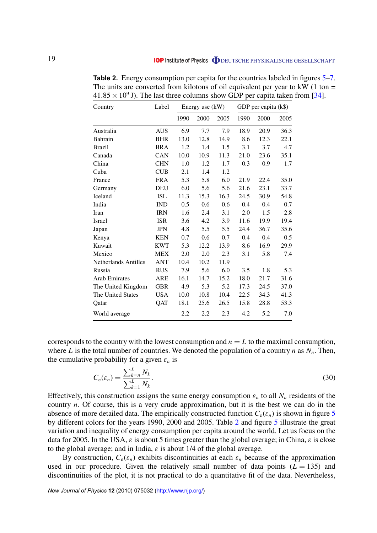| Country              | Label      | Energy use (kW) |      |      | GDP per capita (k\$) |      |      |
|----------------------|------------|-----------------|------|------|----------------------|------|------|
|                      |            | 1990            | 2000 | 2005 | 1990                 | 2000 | 2005 |
| Australia            | <b>AUS</b> | 6.9             | 7.7  | 7.9  | 18.9                 | 20.9 | 36.3 |
| Bahrain              | <b>BHR</b> | 13.0            | 12.8 | 14.9 | 8.6                  | 12.3 | 22.1 |
| Brazil               | <b>BRA</b> | 1.2             | 1.4  | 1.5  | 3.1                  | 3.7  | 4.7  |
| Canada               | CAN        | 10.0            | 10.9 | 11.3 | 21.0                 | 23.6 | 35.1 |
| China                | <b>CHN</b> | 1.0             | 1.2  | 1.7  | 0.3                  | 0.9  | 1.7  |
| Cuba                 | <b>CUB</b> | 2.1             | 1.4  | 1.2  |                      |      |      |
| France               | <b>FRA</b> | 5.3             | 5.8  | 6.0  | 21.9                 | 22.4 | 35.0 |
| Germany              | <b>DEU</b> | 6.0             | 5.6  | 5.6  | 21.6                 | 23.1 | 33.7 |
| Iceland              | <b>ISL</b> | 11.3            | 15.3 | 16.3 | 24.5                 | 30.9 | 54.8 |
| India                | <b>IND</b> | 0.5             | 0.6  | 0.6  | 0.4                  | 0.4  | 0.7  |
| Iran                 | <b>IRN</b> | 1.6             | 2.4  | 3.1  | 2.0                  | 1.5  | 2.8  |
| Israel               | <b>ISR</b> | 3.6             | 4.2  | 3.9  | 11.6                 | 19.9 | 19.4 |
| Japan                | <b>JPN</b> | 4.8             | 5.5  | 5.5  | 24.4                 | 36.7 | 35.6 |
| Kenya                | <b>KEN</b> | 0.7             | 0.6  | 0.7  | 0.4                  | 0.4  | 0.5  |
| Kuwait               | <b>KWT</b> | 5.3             | 12.2 | 13.9 | 8.6                  | 16.9 | 29.9 |
| Mexico               | <b>MEX</b> | 2.0             | 2.0  | 2.3  | 3.1                  | 5.8  | 7.4  |
| Netherlands Antilles | <b>ANT</b> | 10.4            | 10.2 | 11.9 |                      |      |      |
| Russia               | <b>RUS</b> | 7.9             | 5.6  | 6.0  | 3.5                  | 1.8  | 5.3  |
| <b>Arab Emirates</b> | <b>ARE</b> | 16.1            | 14.7 | 15.2 | 18.0                 | 21.7 | 31.6 |
| The United Kingdom   | <b>GBR</b> | 4.9             | 5.3  | 5.2  | 17.3                 | 24.5 | 37.0 |
| The United States    | <b>USA</b> | 10.0            | 10.8 | 10.4 | 22.5                 | 34.3 | 41.3 |
| Qatar                | QAT        | 18.1            | 25.6 | 26.5 | 15.8                 | 28.8 | 53.3 |
| World average        |            | 2.2             | 2.2  | 2.3  | 4.2                  | 5.2  | 7.0  |

**Table 2.** Energy consumption per capita for the countries labeled in figures 5–7. The units are converted from kilotons of oil equivalent per year to  $kW$  (1 ton =  $41.85 \times 10^9$  J). The last three columns show GDP per capita taken from [34].

corresponds to the country with the lowest consumption and  $n = L$  to the maximal consumption, where *L* is the total number of countries. We denoted the population of a country *n* as  $N_n$ . Then, the cumulative probability for a given  $\varepsilon_n$  is

$$
C_{e}(\varepsilon_{n}) = \frac{\sum_{k=n}^{L} N_{k}}{\sum_{k=1}^{L} N_{k}}.
$$
\n(30)

Effectively, this construction assigns the same energy consumption  $\varepsilon_n$  to all  $N_n$  residents of the country *n*. Of course, this is a very crude approximation, but it is the best we can do in the absence of more detailed data. The empirically constructed function  $C_e(\varepsilon_n)$  is shown in figure 5 by different colors for the years 1990, 2000 and 2005. Table 2 and figure 5 illustrate the great variation and inequality of energy consumption per capita around the world. Let us focus on the data for 2005. In the USA,  $\varepsilon$  is about 5 times greater than the global average; in China,  $\varepsilon$  is close to the global average; and in India,  $\varepsilon$  is about 1/4 of the global average.

By construction,  $C_e(\varepsilon_n)$  exhibits discontinuities at each  $\varepsilon_n$  because of the approximation used in our procedure. Given the relatively small number of data points  $(L = 135)$  and discontinuities of the plot, it is not practical to do a quantitative fit of the data. Nevertheless,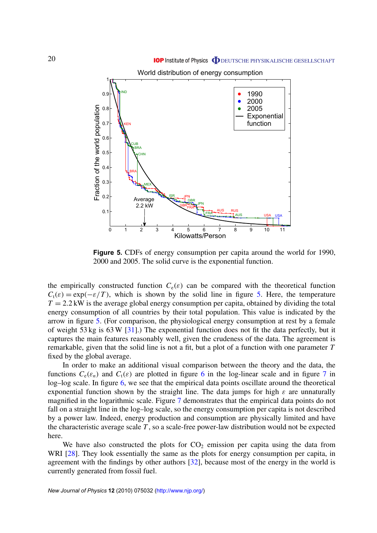

**Figure 5.** CDFs of energy consumption per capita around the world for 1990, 2000 and 2005. The solid curve is the exponential function.

the empirically constructed function  $C_e(\varepsilon)$  can be compared with the theoretical function  $C_t(\varepsilon) = \exp(-\varepsilon/T)$ , which is shown by the solid line in figure 5. Here, the temperature  $T = 2.2$  kW is the average global energy consumption per capita, obtained by dividing the total energy consumption of all countries by their total population. This value is indicated by the arrow in figure 5. (For comparison, the physiological energy consumption at rest by a female of weight 53 kg is 63 W [31].) The exponential function does not fit the data perfectly, but it captures the main features reasonably well, given the crudeness of the data. The agreement is remarkable, given that the solid line is not a fit, but a plot of a function with one parameter *T* fixed by the global average.

In order to make an additional visual comparison between the theory and the data, the functions  $C_e(\varepsilon_n)$  and  $C_t(\varepsilon)$  are plotted in figure 6 in the log-linear scale and in figure 7 in log–log scale. In figure 6, we see that the empirical data points oscillate around the theoretical exponential function shown by the straight line. The data jumps for high  $\varepsilon$  are unnaturally magnified in the logarithmic scale. Figure 7 demonstrates that the empirical data points do not fall on a straight line in the log–log scale, so the energy consumption per capita is not described by a power law. Indeed, energy production and consumption are physically limited and have the characteristic average scale *T* , so a scale-free power-law distribution would not be expected here.

We have also constructed the plots for  $CO<sub>2</sub>$  emission per capita using the data from WRI [28]. They look essentially the same as the plots for energy consumption per capita, in agreement with the findings by other authors [32], because most of the energy in the world is currently generated from fossil fuel.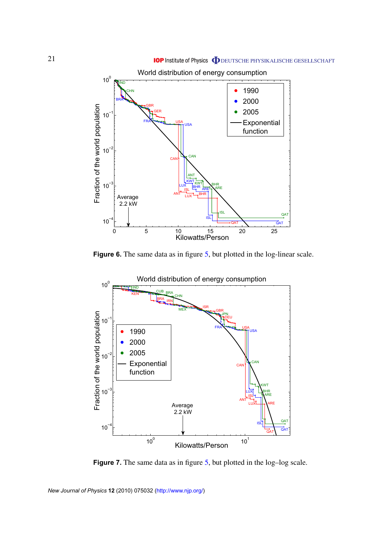

**Figure 6.** The same data as in figure 5, but plotted in the log-linear scale.



**Figure 7.** The same data as in figure 5, but plotted in the log–log scale.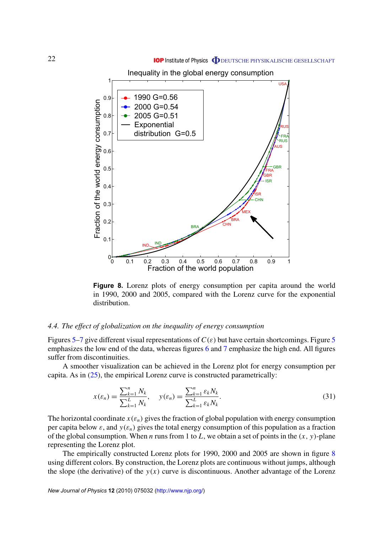Inequality in the global energy consumption



**Figure 8.** Lorenz plots of energy consumption per capita around the world in 1990, 2000 and 2005, compared with the Lorenz curve for the exponential distribution.

# *4.4. The effect of globalization on the inequality of energy consumption*

Figures 5–7 give different visual representations of  $C(\varepsilon)$  but have certain shortcomings. Figure 5 emphasizes the low end of the data, whereas figures 6 and 7 emphasize the high end. All figures suffer from discontinuities.

A smoother visualization can be achieved in the Lorenz plot for energy consumption per capita. As in (25), the empirical Lorenz curve is constructed parametrically:

$$
x(\varepsilon_n) = \frac{\sum_{k=1}^n N_k}{\sum_{k=1}^L N_k}, \quad y(\varepsilon_n) = \frac{\sum_{k=1}^n \varepsilon_k N_k}{\sum_{k=1}^L \varepsilon_k N_k}.
$$
 (31)

The horizontal coordinate  $x(\varepsilon_n)$  gives the fraction of global population with energy consumption per capita below  $\varepsilon$ , and  $y(\varepsilon_n)$  gives the total energy consumption of this population as a fraction of the global consumption. When *n* runs from 1 to *L*, we obtain a set of points in the (*x*, *y*)-plane representing the Lorenz plot.

The empirically constructed Lorenz plots for 1990, 2000 and 2005 are shown in figure 8 using different colors. By construction, the Lorenz plots are continuous without jumps, although the slope (the derivative) of the  $y(x)$  curve is discontinuous. Another advantage of the Lorenz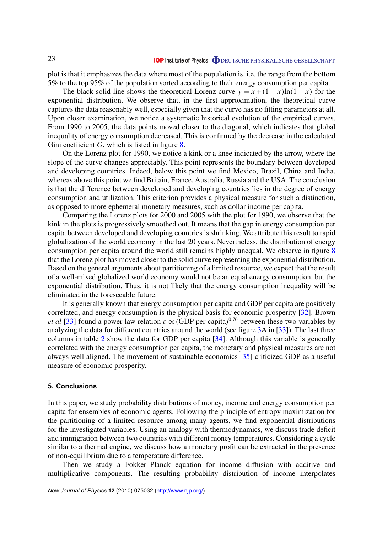plot is that it emphasizes the data where most of the population is, i.e. the range from the bottom 5% to the top 95% of the population sorted according to their energy consumption per capita.

The black solid line shows the theoretical Lorenz curve  $y = x + (1 - x) \ln(1 - x)$  for the exponential distribution. We observe that, in the first approximation, the theoretical curve captures the data reasonably well, especially given that the curve has no fitting parameters at all. Upon closer examination, we notice a systematic historical evolution of the empirical curves. From 1990 to 2005, the data points moved closer to the diagonal, which indicates that global inequality of energy consumption decreased. This is confirmed by the decrease in the calculated Gini coefficient *G*, which is listed in figure 8.

On the Lorenz plot for 1990, we notice a kink or a knee indicated by the arrow, where the slope of the curve changes appreciably. This point represents the boundary between developed and developing countries. Indeed, below this point we find Mexico, Brazil, China and India, whereas above this point we find Britain, France, Australia, Russia and the USA. The conclusion is that the difference between developed and developing countries lies in the degree of energy consumption and utilization. This criterion provides a physical measure for such a distinction, as opposed to more ephemeral monetary measures, such as dollar income per capita.

Comparing the Lorenz plots for 2000 and 2005 with the plot for 1990, we observe that the kink in the plots is progressively smoothed out. It means that the gap in energy consumption per capita between developed and developing countries is shrinking. We attribute this result to rapid globalization of the world economy in the last 20 years. Nevertheless, the distribution of energy consumption per capita around the world still remains highly unequal. We observe in figure 8 that the Lorenz plot has moved closer to the solid curve representing the exponential distribution. Based on the general arguments about partitioning of a limited resource, we expect that the result of a well-mixed globalized world economy would not be an equal energy consumption, but the exponential distribution. Thus, it is not likely that the energy consumption inequality will be eliminated in the foreseeable future.

It is generally known that energy consumption per capita and GDP per capita are positively correlated, and energy consumption is the physical basis for economic prosperity [32]. Brown *et al* [33] found a power-law relation  $\varepsilon \propto (GDP \text{ per capita})^{0.76}$  between these two variables by analyzing the data for different countries around the world (see figure 3A in [33]). The last three columns in table 2 show the data for GDP per capita [34]. Although this variable is generally correlated with the energy consumption per capita, the monetary and physical measures are not always well aligned. The movement of sustainable economics [35] criticized GDP as a useful measure of economic prosperity.

# **5. Conclusions**

In this paper, we study probability distributions of money, income and energy consumption per capita for ensembles of economic agents. Following the principle of entropy maximization for the partitioning of a limited resource among many agents, we find exponential distributions for the investigated variables. Using an analogy with thermodynamics, we discuss trade deficit and immigration between two countries with different money temperatures. Considering a cycle similar to a thermal engine, we discuss how a monetary profit can be extracted in the presence of non-equilibrium due to a temperature difference.

Then we study a Fokker–Planck equation for income diffusion with additive and multiplicative components. The resulting probability distribution of income interpolates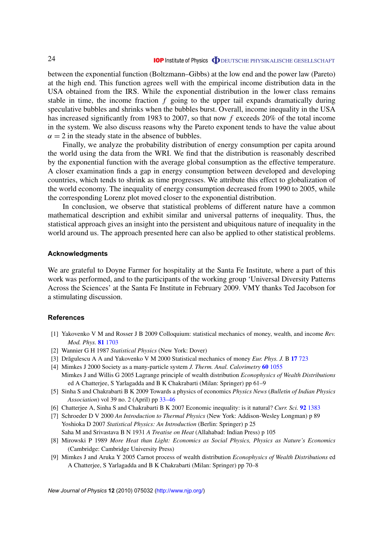between the exponential function (Boltzmann–Gibbs) at the low end and the power law (Pareto) at the high end. This function agrees well with the empirical income distribution data in the USA obtained from the IRS. While the exponential distribution in the lower class remains stable in time, the income fraction *f* going to the upper tail expands dramatically during speculative bubbles and shrinks when the bubbles burst. Overall, income inequality in the USA has increased significantly from 1983 to 2007, so that now *f* exceeds 20% of the total income in the system. We also discuss reasons why the Pareto exponent tends to have the value about  $\alpha = 2$  in the steady state in the absence of bubbles.

Finally, we analyze the probability distribution of energy consumption per capita around the world using the data from the WRI. We find that the distribution is reasonably described by the exponential function with the average global consumption as the effective temperature. A closer examination finds a gap in energy consumption between developed and developing countries, which tends to shrink as time progresses. We attribute this effect to globalization of the world economy. The inequality of energy consumption decreased from 1990 to 2005, while the corresponding Lorenz plot moved closer to the exponential distribution.

In conclusion, we observe that statistical problems of different nature have a common mathematical description and exhibit similar and universal patterns of inequality. Thus, the statistical approach gives an insight into the persistent and ubiquitous nature of inequality in the world around us. The approach presented here can also be applied to other statistical problems.

#### **Acknowledgments**

We are grateful to Doyne Farmer for hospitality at the Santa Fe Institute, where a part of this work was performed, and to the participants of the working group 'Universal Diversity Patterns Across the Sciences' at the Santa Fe Institute in February 2009. VMY thanks Ted Jacobson for a stimulating discussion.

#### **References**

- [1] Yakovenko V M and Rosser J B 2009 Colloquium: statistical mechanics of money, wealth, and income *Rev. Mod. Phys.* **81** [1703](http://dx.doi.org/10.1103/RevModPhys.81.1703)
- [2] Wannier G H 1987 *Statistical Physics* (New York: Dover)
- [3] Drăgulescu A A and Yakovenko V M 2000 Statistical mechanics of money *Eur. Phys. J.* B 17[723](http://dx.doi.org/10.1007/s100510070114)
- [4] Mimkes J 2000 Society as a many-particle system *J. Therm. Anal. Calorimetry* **60** [1055](http://dx.doi.org/10.1023/A:1010192615862) Mimkes J and Willis G 2005 Lagrange principle of wealth distribution *Econophysics of Wealth Distributions*
- ed A Chatterjee, S Yarlagadda and B K Chakrabarti (Milan: Springer) pp 61–9 [5] Sinha S and Chakrabarti B K 2009 Towards a physics of economics *Physics News* (*Bulletin of Indian Physics*
- *Association*) vol 39 no. 2 (April) pp [33–46](http://www.imsc.res.in/~sitabhra/publication.html)
- [6] Chatterjee A, Sinha S and Chakrabarti B K 2007 Economic inequality: is it natural? *Curr. Sci.* **92** [1383](http://www.ias.ac.in/currsci/may252007/contents.htm)
- [7] Schroeder D V 2000 *An Introduction to Thermal Physics* (New York: Addison-Wesley Longman) p 89 Yoshioka D 2007 *Statistical Physics: An Introduction* (Berlin: Springer) p 25 Saha M and Srivastava B N 1931 *A Treatise on Heat* (Allahabad: Indian Press) p 105
- [8] Mirowski P 1989 *More Heat than Light: Economics as Social Physics, Physics as Nature's Economics* (Cambridge: Cambridge University Press)
- [9] Mimkes J and Aruka Y 2005 Carnot process of wealth distribution *Econophysics of Wealth Distributions* ed A Chatterjee, S Yarlagadda and B K Chakrabarti (Milan: Springer) pp 70–8